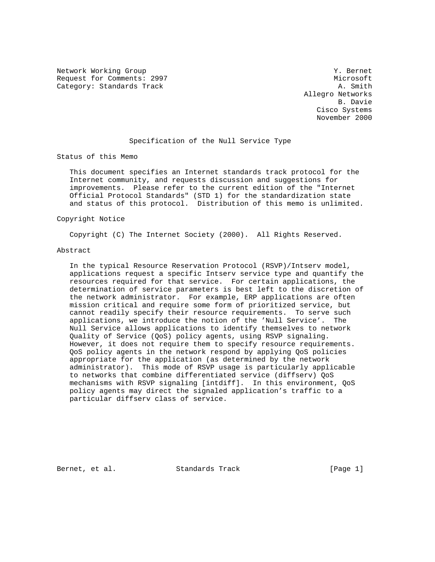Network Working Group 30 and 1999 and 1999 and 1999 and 1999 and 1999 and 1999 and 1999 and 1999 and 1999 and 1 Request for Comments: 2997 Microsoft Category: Standards Track A. Smith

 Allegro Networks B. Davie Cisco Systems November 2000

#### Specification of the Null Service Type

Status of this Memo

 This document specifies an Internet standards track protocol for the Internet community, and requests discussion and suggestions for improvements. Please refer to the current edition of the "Internet Official Protocol Standards" (STD 1) for the standardization state and status of this protocol. Distribution of this memo is unlimited.

#### Copyright Notice

Copyright (C) The Internet Society (2000). All Rights Reserved.

#### Abstract

 In the typical Resource Reservation Protocol (RSVP)/Intserv model, applications request a specific Intserv service type and quantify the resources required for that service. For certain applications, the determination of service parameters is best left to the discretion of the network administrator. For example, ERP applications are often mission critical and require some form of prioritized service, but cannot readily specify their resource requirements. To serve such applications, we introduce the notion of the 'Null Service'. The Null Service allows applications to identify themselves to network Quality of Service (QoS) policy agents, using RSVP signaling. However, it does not require them to specify resource requirements. QoS policy agents in the network respond by applying QoS policies appropriate for the application (as determined by the network administrator). This mode of RSVP usage is particularly applicable to networks that combine differentiated service (diffserv) QoS mechanisms with RSVP signaling [intdiff]. In this environment, QoS policy agents may direct the signaled application's traffic to a particular diffserv class of service.

Bernet, et al. Standards Track [Page 1]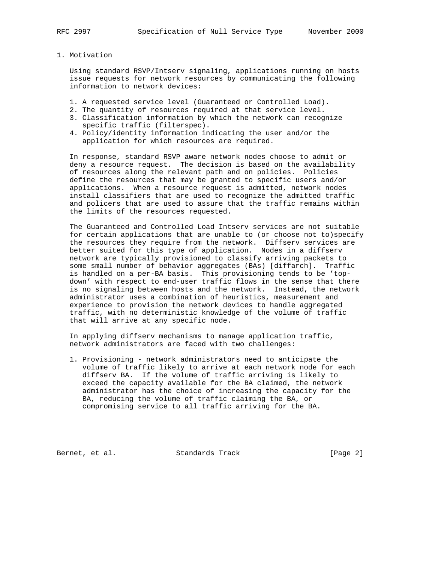#### 1. Motivation

 Using standard RSVP/Intserv signaling, applications running on hosts issue requests for network resources by communicating the following information to network devices:

- 1. A requested service level (Guaranteed or Controlled Load).
- 2. The quantity of resources required at that service level.
- 3. Classification information by which the network can recognize specific traffic (filterspec).
- 4. Policy/identity information indicating the user and/or the application for which resources are required.

 In response, standard RSVP aware network nodes choose to admit or deny a resource request. The decision is based on the availability of resources along the relevant path and on policies. Policies define the resources that may be granted to specific users and/or applications. When a resource request is admitted, network nodes install classifiers that are used to recognize the admitted traffic and policers that are used to assure that the traffic remains within the limits of the resources requested.

 The Guaranteed and Controlled Load Intserv services are not suitable for certain applications that are unable to (or choose not to)specify the resources they require from the network. Diffserv services are better suited for this type of application. Nodes in a diffserv network are typically provisioned to classify arriving packets to some small number of behavior aggregates (BAs) [diffarch]. Traffic is handled on a per-BA basis. This provisioning tends to be 'top down' with respect to end-user traffic flows in the sense that there is no signaling between hosts and the network. Instead, the network administrator uses a combination of heuristics, measurement and experience to provision the network devices to handle aggregated traffic, with no deterministic knowledge of the volume of traffic that will arrive at any specific node.

 In applying diffserv mechanisms to manage application traffic, network administrators are faced with two challenges:

 1. Provisioning - network administrators need to anticipate the volume of traffic likely to arrive at each network node for each diffserv BA. If the volume of traffic arriving is likely to exceed the capacity available for the BA claimed, the network administrator has the choice of increasing the capacity for the BA, reducing the volume of traffic claiming the BA, or compromising service to all traffic arriving for the BA.

Bernet, et al. Standards Track [Page 2]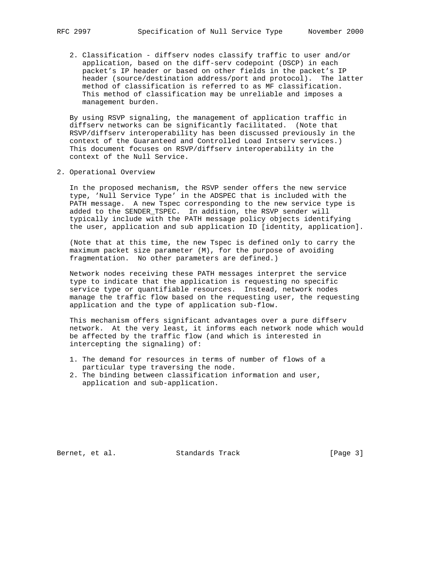2. Classification - diffserv nodes classify traffic to user and/or application, based on the diff-serv codepoint (DSCP) in each packet's IP header or based on other fields in the packet's IP header (source/destination address/port and protocol). The latter method of classification is referred to as MF classification. This method of classification may be unreliable and imposes a management burden.

 By using RSVP signaling, the management of application traffic in diffserv networks can be significantly facilitated. (Note that RSVP/diffserv interoperability has been discussed previously in the context of the Guaranteed and Controlled Load Intserv services.) This document focuses on RSVP/diffserv interoperability in the context of the Null Service.

2. Operational Overview

 In the proposed mechanism, the RSVP sender offers the new service type, 'Null Service Type' in the ADSPEC that is included with the PATH message. A new Tspec corresponding to the new service type is added to the SENDER\_TSPEC. In addition, the RSVP sender will typically include with the PATH message policy objects identifying the user, application and sub application ID [identity, application].

 (Note that at this time, the new Tspec is defined only to carry the maximum packet size parameter (M), for the purpose of avoiding fragmentation. No other parameters are defined.)

 Network nodes receiving these PATH messages interpret the service type to indicate that the application is requesting no specific service type or quantifiable resources. Instead, network nodes manage the traffic flow based on the requesting user, the requesting application and the type of application sub-flow.

 This mechanism offers significant advantages over a pure diffserv network. At the very least, it informs each network node which would be affected by the traffic flow (and which is interested in intercepting the signaling) of:

- 1. The demand for resources in terms of number of flows of a particular type traversing the node.
- 2. The binding between classification information and user, application and sub-application.

Bernet, et al. Standards Track [Page 3]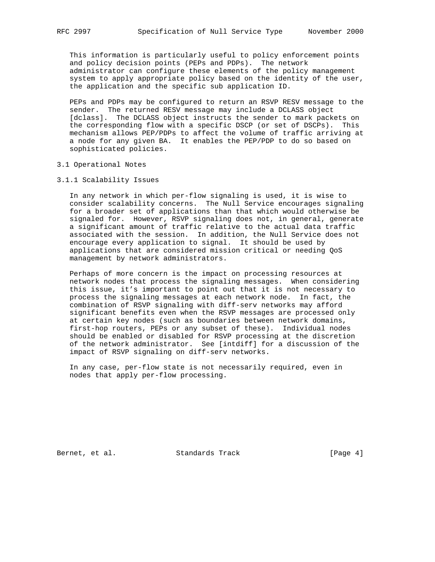This information is particularly useful to policy enforcement points and policy decision points (PEPs and PDPs). The network administrator can configure these elements of the policy management system to apply appropriate policy based on the identity of the user, the application and the specific sub application ID.

 PEPs and PDPs may be configured to return an RSVP RESV message to the sender. The returned RESV message may include a DCLASS object [dclass]. The DCLASS object instructs the sender to mark packets on the corresponding flow with a specific DSCP (or set of DSCPs). This mechanism allows PEP/PDPs to affect the volume of traffic arriving at a node for any given BA. It enables the PEP/PDP to do so based on sophisticated policies.

#### 3.1 Operational Notes

3.1.1 Scalability Issues

 In any network in which per-flow signaling is used, it is wise to consider scalability concerns. The Null Service encourages signaling for a broader set of applications than that which would otherwise be signaled for. However, RSVP signaling does not, in general, generate a significant amount of traffic relative to the actual data traffic associated with the session. In addition, the Null Service does not encourage every application to signal. It should be used by applications that are considered mission critical or needing QoS management by network administrators.

 Perhaps of more concern is the impact on processing resources at network nodes that process the signaling messages. When considering this issue, it's important to point out that it is not necessary to process the signaling messages at each network node. In fact, the combination of RSVP signaling with diff-serv networks may afford significant benefits even when the RSVP messages are processed only at certain key nodes (such as boundaries between network domains, first-hop routers, PEPs or any subset of these). Individual nodes should be enabled or disabled for RSVP processing at the discretion of the network administrator. See [intdiff] for a discussion of the impact of RSVP signaling on diff-serv networks.

 In any case, per-flow state is not necessarily required, even in nodes that apply per-flow processing.

Bernet, et al. Standards Track [Page 4]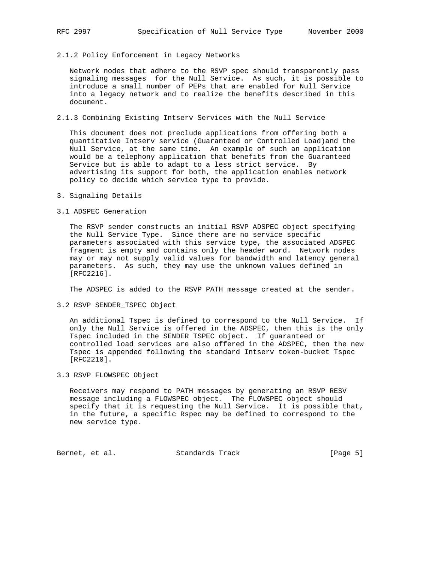#### 2.1.2 Policy Enforcement in Legacy Networks

 Network nodes that adhere to the RSVP spec should transparently pass signaling messages for the Null Service. As such, it is possible to introduce a small number of PEPs that are enabled for Null Service into a legacy network and to realize the benefits described in this document.

#### 2.1.3 Combining Existing Intserv Services with the Null Service

 This document does not preclude applications from offering both a quantitative Intserv service (Guaranteed or Controlled Load)and the Null Service, at the same time. An example of such an application would be a telephony application that benefits from the Guaranteed Service but is able to adapt to a less strict service. By advertising its support for both, the application enables network policy to decide which service type to provide.

3. Signaling Details

### 3.1 ADSPEC Generation

 The RSVP sender constructs an initial RSVP ADSPEC object specifying the Null Service Type. Since there are no service specific parameters associated with this service type, the associated ADSPEC fragment is empty and contains only the header word. Network nodes may or may not supply valid values for bandwidth and latency general parameters. As such, they may use the unknown values defined in [RFC2216].

The ADSPEC is added to the RSVP PATH message created at the sender.

3.2 RSVP SENDER\_TSPEC Object

 An additional Tspec is defined to correspond to the Null Service. If only the Null Service is offered in the ADSPEC, then this is the only Tspec included in the SENDER\_TSPEC object. If guaranteed or controlled load services are also offered in the ADSPEC, then the new Tspec is appended following the standard Intserv token-bucket Tspec [RFC2210].

## 3.3 RSVP FLOWSPEC Object

 Receivers may respond to PATH messages by generating an RSVP RESV message including a FLOWSPEC object. The FLOWSPEC object should specify that it is requesting the Null Service. It is possible that, in the future, a specific Rspec may be defined to correspond to the new service type.

Bernet, et al. Standards Track [Page 5]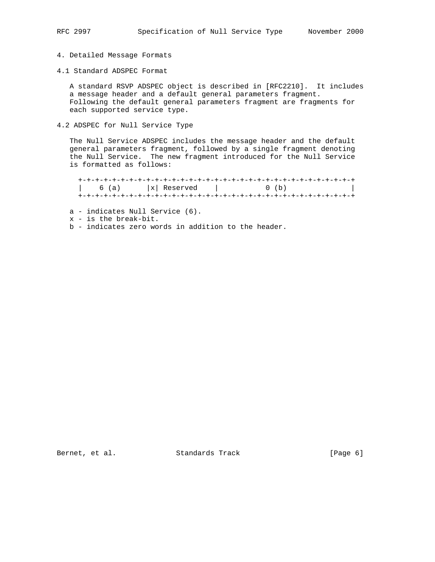# 4. Detailed Message Formats

4.1 Standard ADSPEC Format

 A standard RSVP ADSPEC object is described in [RFC2210]. It includes a message header and a default general parameters fragment. Following the default general parameters fragment are fragments for each supported service type.

4.2 ADSPEC for Null Service Type

 The Null Service ADSPEC includes the message header and the default general parameters fragment, followed by a single fragment denoting the Null Service. The new fragment introduced for the Null Service is formatted as follows:

 +-+-+-+-+-+-+-+-+-+-+-+-+-+-+-+-+-+-+-+-+-+-+-+-+-+-+-+-+-+-+-+-+  $\begin{vmatrix} 6 & (a) & |x| \end{vmatrix}$  Reserved  $\begin{vmatrix} 6 & 0 \\ 0 & 0 \end{vmatrix}$ +-+-+-+-+-+-+-+-+-+-+-+-+-+-+-+-+-+-+-+-+-+-+-+-+-+-+-+-+-+-+-+-+

a - indicates Null Service (6).

x - is the break-bit.

b - indicates zero words in addition to the header.

Bernet, et al. Standards Track [Page 6]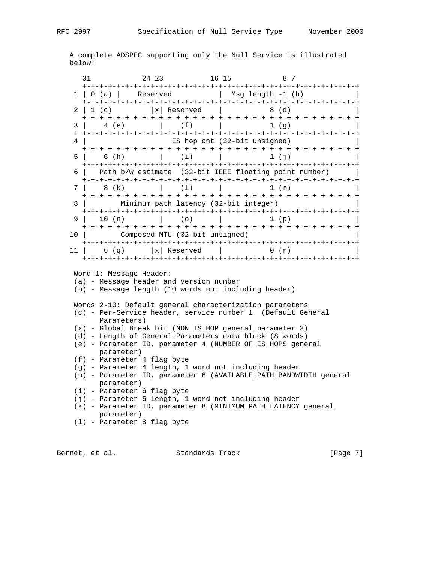A complete ADSPEC supporting only the Null Service is illustrated below:

|                                                                                                                                                                                                | 31                                                                                                                                                                                                     | 24 23                                                 | 16 15                |                                            | 87 |  |  |  |
|------------------------------------------------------------------------------------------------------------------------------------------------------------------------------------------------|--------------------------------------------------------------------------------------------------------------------------------------------------------------------------------------------------------|-------------------------------------------------------|----------------------|--------------------------------------------|----|--|--|--|
|                                                                                                                                                                                                |                                                                                                                                                                                                        |                                                       |                      | $1   0 (a)  $ Reserved   Msg length -1 (b) |    |  |  |  |
|                                                                                                                                                                                                | $2 \mid 1$ (c)                                                                                                                                                                                         |                                                       | x  Reserved          | 8 (d)                                      |    |  |  |  |
| 3                                                                                                                                                                                              | 4 (e)                                                                                                                                                                                                  |                                                       | (f)                  | $1(\sigma)$                                |    |  |  |  |
| 4                                                                                                                                                                                              |                                                                                                                                                                                                        | IS hop cnt (32-bit unsigned)                          |                      |                                            |    |  |  |  |
|                                                                                                                                                                                                | 5                                                                                                                                                                                                      | 6 (h)                                                 |                      | $1$ (i)                                    |    |  |  |  |
|                                                                                                                                                                                                | 61                                                                                                                                                                                                     | Path b/w estimate (32-bit IEEE floating point number) |                      |                                            |    |  |  |  |
| 7                                                                                                                                                                                              | 8 (k)                                                                                                                                                                                                  |                                                       | (1)                  | $1 \pmod{m}$<br>$\mathbb{R}$               |    |  |  |  |
| 8                                                                                                                                                                                              |                                                                                                                                                                                                        | Minimum path latency (32-bit integer)                 |                      |                                            |    |  |  |  |
| 9                                                                                                                                                                                              |                                                                                                                                                                                                        | 10(n)                                                 | (0)                  | 1(p)                                       |    |  |  |  |
| 10                                                                                                                                                                                             | Composed MTU (32-bit unsigned)                                                                                                                                                                         |                                                       |                      |                                            |    |  |  |  |
| 11                                                                                                                                                                                             |                                                                                                                                                                                                        |                                                       | $6 (q)$  x  Reserved | 0(r)                                       |    |  |  |  |
| Word 1: Message Header:<br>(a) - Message header and version number<br>(b) - Message length (10 words not including header)                                                                     |                                                                                                                                                                                                        |                                                       |                      |                                            |    |  |  |  |
| Words 2-10: Default general characterization parameters<br>(c) - Per-Service header, service number 1 (Default General<br>Parameters)                                                          |                                                                                                                                                                                                        |                                                       |                      |                                            |    |  |  |  |
| (x) - Global Break bit (NON_IS_HOP general parameter 2)<br>(d) - Length of General Parameters data block (8 words)<br>(e) - Parameter ID, parameter 4 (NUMBER_OF_IS_HOPS general<br>parameter) |                                                                                                                                                                                                        |                                                       |                      |                                            |    |  |  |  |
|                                                                                                                                                                                                | (f) - Parameter 4 flag byte<br>(g) - Parameter 4 length, 1 word not including header<br>(h) - Parameter ID, parameter 6 (AVAILABLE_PATH_BANDWIDTH general<br>parameter)<br>(i) - Parameter 6 flag byte |                                                       |                      |                                            |    |  |  |  |
|                                                                                                                                                                                                | (j) - Parameter 6 length, 1 word not including header<br>(k) - Parameter ID, parameter 8 (MINIMUM_PATH_LATENCY general<br>parameter)<br>$(1)$ - Parameter 8 flag byte                                  |                                                       |                      |                                            |    |  |  |  |
|                                                                                                                                                                                                |                                                                                                                                                                                                        |                                                       |                      |                                            |    |  |  |  |

Bernet, et al. Standards Track [Page 7]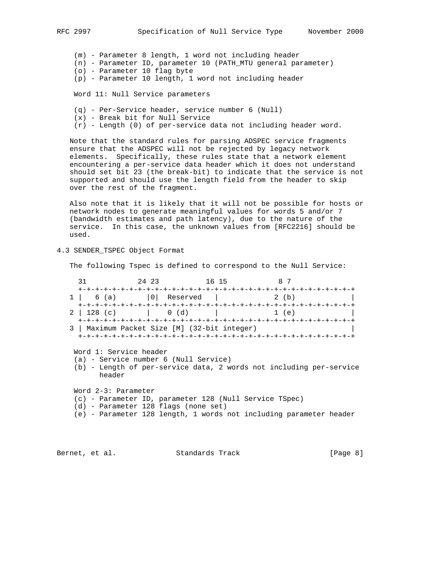(m) - Parameter 8 length, 1 word not including header (n) - Parameter ID, parameter 10 (PATH\_MTU general parameter)

- (o) Parameter 10 flag byte
- (p) Parameter 10 length, 1 word not including header

Word 11: Null Service parameters

- (q) Per-Service header, service number 6 (Null)
- (x) Break bit for Null Service
- (r) Length (0) of per-service data not including header word.

 Note that the standard rules for parsing ADSPEC service fragments ensure that the ADSPEC will not be rejected by legacy network elements. Specifically, these rules state that a network element encountering a per-service data header which it does not understand should set bit 23 (the break-bit) to indicate that the service is not supported and should use the length field from the header to skip over the rest of the fragment.

 Also note that it is likely that it will not be possible for hosts or network nodes to generate meaningful values for words 5 and/or 7 (bandwidth estimates and path latency), due to the nature of the service. In this case, the unknown values from [RFC2216] should be used.

4.3 SENDER\_TSPEC Object Format

The following Tspec is defined to correspond to the Null Service:

| 31                                                                                                          | 24 23  | 16 15       | 87                                                                                                                           |  |  |  |  |
|-------------------------------------------------------------------------------------------------------------|--------|-------------|------------------------------------------------------------------------------------------------------------------------------|--|--|--|--|
| 6 (a)                                                                                                       |        | 0  Reserved | 2(b)                                                                                                                         |  |  |  |  |
| 2 <sup>1</sup><br>$128$ (c)                                                                                 | (0)(d) |             | 1(e)                                                                                                                         |  |  |  |  |
| Maximum Packet Size [M] (32-bit integer)<br>Word 1: Service header<br>(a) - Service number 6 (Null Service) |        |             |                                                                                                                              |  |  |  |  |
| (b) - Length of per-service data, 2 words not including per-service<br>header                               |        |             |                                                                                                                              |  |  |  |  |
| Word 2-3: Parameter<br>(d) – Parameter 128 flags (none set)                                                 |        |             | (c) - Parameter ID, parameter 128 (Null Service TSpec)<br>(e) - Parameter 128 length, 1 words not including parameter header |  |  |  |  |

Bernet, et al. Standards Track [Page 8]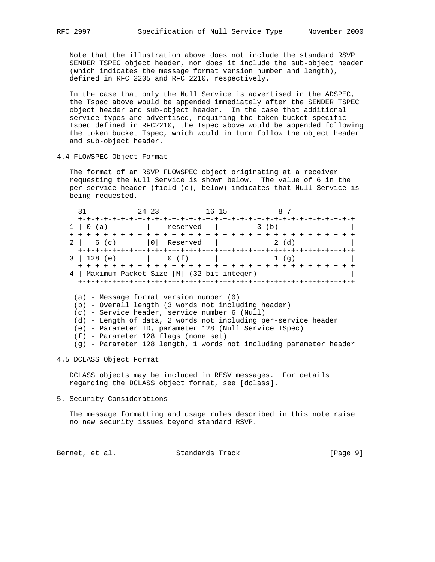Note that the illustration above does not include the standard RSVP SENDER\_TSPEC object header, nor does it include the sub-object header (which indicates the message format version number and length), defined in RFC 2205 and RFC 2210, respectively.

 In the case that only the Null Service is advertised in the ADSPEC, the Tspec above would be appended immediately after the SENDER\_TSPEC object header and sub-object header. In the case that additional service types are advertised, requiring the token bucket specific Tspec defined in RFC2210, the Tspec above would be appended following the token bucket Tspec, which would in turn follow the object header and sub-object header.

4.4 FLOWSPEC Object Format

 The format of an RSVP FLOWSPEC object originating at a receiver requesting the Null Service is shown below. The value of 6 in the per-service header (field (c), below) indicates that Null Service is being requested.

| 31                                                             | 2.4 2.3 | 16 15                | 8 7         |  |  |  |  |
|----------------------------------------------------------------|---------|----------------------|-------------|--|--|--|--|
| 0(a)                                                           |         | reserved   3 (b)     |             |  |  |  |  |
|                                                                |         | 6 (c)   0   Reserved | 2(d)        |  |  |  |  |
| 3   128 (e)   0 (f)                                            |         |                      | $1(\alpha)$ |  |  |  |  |
| 4   Maximum Packet Size [M] (32-bit integer)                   |         |                      |             |  |  |  |  |
| $(a)$ - Message format version number $(0)$                    |         |                      |             |  |  |  |  |
| (b) - Overall length (3 words not including header)            |         |                      |             |  |  |  |  |
| $(c)$ - Service header, service number 6 (Null)                |         |                      |             |  |  |  |  |
| (d) - Length of data, 2 words not including per-service header |         |                      |             |  |  |  |  |
| (e) - Parameter ID, parameter 128 (Null Service TSpec)         |         |                      |             |  |  |  |  |
| (f) – Parameter 128 flags (none set)                           |         |                      |             |  |  |  |  |

(g) - Parameter 128 length, 1 words not including parameter header

4.5 DCLASS Object Format

 DCLASS objects may be included in RESV messages. For details regarding the DCLASS object format, see [dclass].

5. Security Considerations

 The message formatting and usage rules described in this note raise no new security issues beyond standard RSVP.

Bernet, et al. Standards Track [Page 9]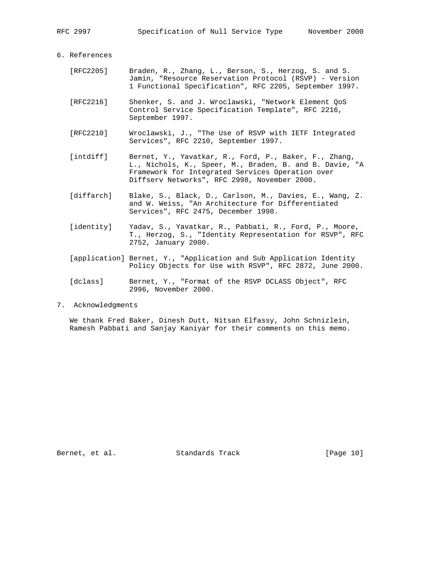#### 6. References

- [RFC2205] Braden, R., Zhang, L., Berson, S., Herzog, S. and S. Jamin, "Resource Reservation Protocol (RSVP) - Version 1 Functional Specification", RFC 2205, September 1997.
- [RFC2216] Shenker, S. and J. Wroclawski, "Network Element QoS Control Service Specification Template", RFC 2216, September 1997.
- [RFC2210] Wroclawski, J., "The Use of RSVP with IETF Integrated Services", RFC 2210, September 1997.
- [intdiff] Bernet, Y., Yavatkar, R., Ford, P., Baker, F., Zhang, L., Nichols, K., Speer, M., Braden, B. and B. Davie, "A Framework for Integrated Services Operation over Diffserv Networks", RFC 2998, November 2000.
- [diffarch] Blake, S., Black, D., Carlson, M., Davies, E., Wang, Z. and W. Weiss, "An Architecture for Differentiated Services", RFC 2475, December 1998.
- [identity] Yadav, S., Yavatkar, R., Pabbati, R., Ford, P., Moore, T., Herzog, S., "Identity Representation for RSVP", RFC 2752, January 2000.
- [application] Bernet, Y., "Application and Sub Application Identity Policy Objects for Use with RSVP", RFC 2872, June 2000.
- [dclass] Bernet, Y., "Format of the RSVP DCLASS Object", RFC 2996, November 2000.
- 7. Acknowledgments

 We thank Fred Baker, Dinesh Dutt, Nitsan Elfassy, John Schnizlein, Ramesh Pabbati and Sanjay Kaniyar for their comments on this memo.

Bernet, et al. Standards Track [Page 10]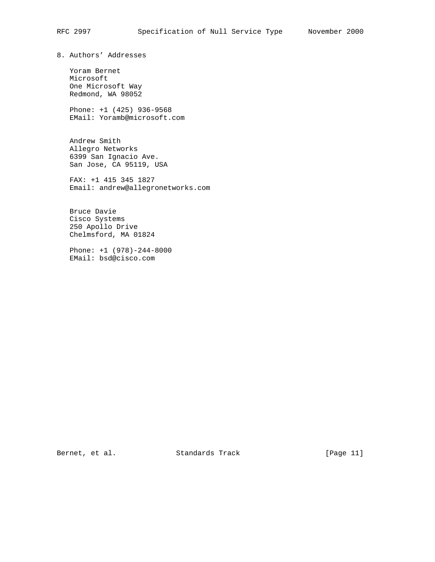8. Authors' Addresses

 Yoram Bernet Microsoft One Microsoft Way Redmond, WA 98052

 Phone: +1 (425) 936-9568 EMail: Yoramb@microsoft.com

 Andrew Smith Allegro Networks 6399 San Ignacio Ave. San Jose, CA 95119, USA

 FAX: +1 415 345 1827 Email: andrew@allegronetworks.com

 Bruce Davie Cisco Systems 250 Apollo Drive Chelmsford, MA 01824

 Phone: +1 (978)-244-8000 EMail: bsd@cisco.com

Bernet, et al. Standards Track [Page 11]